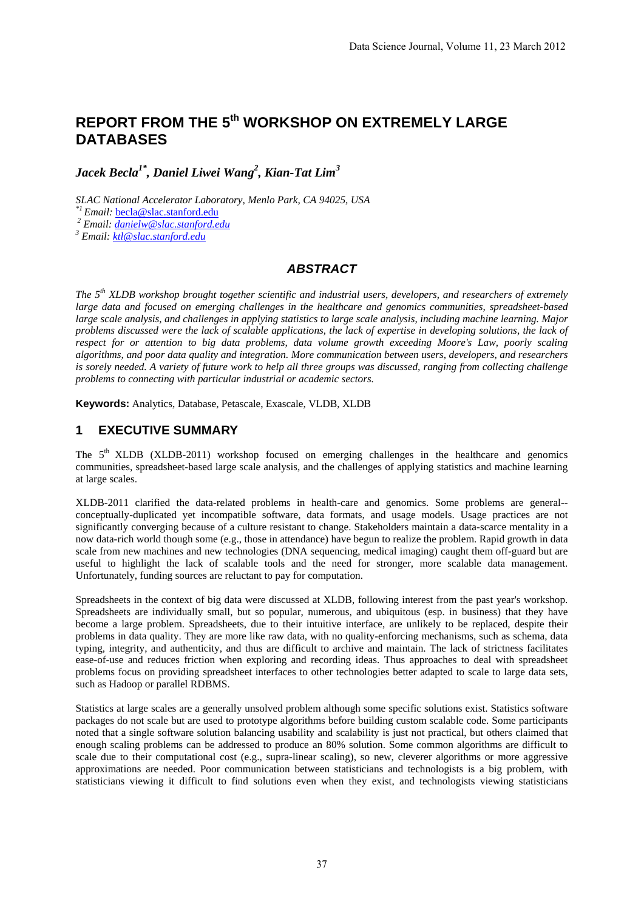# **REPORT FROM THE 5th WORKSHOP ON EXTREMELY LARGE DATABASES**

*Jacek Becla1\*, Daniel Liwei Wang2 , Kian-Tat Lim<sup>3</sup>*

*SLAC National Accelerator Laboratory, Menlo Park, CA 94025, USA* 

<sup>2</sup> Email: <u>danielw@slac.stanford.edu</u>

 *Email: ktl@slac.stanford.edu*

#### *ABSTRACT*

*The 5th XLDB workshop brought together scientific and industrial users, developers, and researchers of extremely large data and focused on emerging challenges in the healthcare and genomics communities, spreadsheet-based large scale analysis, and challenges in applying statistics to large scale analysis, including machine learning. Major*  problems discussed were the lack of scalable applications, the lack of expertise in developing solutions, the lack of *respect for or attention to big data problems, data volume growth exceeding Moore's Law, poorly scaling algorithms, and poor data quality and integration. More communication between users, developers, and researchers is sorely needed. A variety of future work to help all three groups was discussed, ranging from collecting challenge problems to connecting with particular industrial or academic sectors.* 

**Keywords:** Analytics, Database, Petascale, Exascale, VLDB, XLDB

## **1 EXECUTIVE SUMMARY**

The  $5<sup>th</sup>$  XLDB (XLDB-2011) workshop focused on emerging challenges in the healthcare and genomics communities, spreadsheet-based large scale analysis, and the challenges of applying statistics and machine learning at large scales.

XLDB-2011 clarified the data-related problems in health-care and genomics. Some problems are general- conceptually-duplicated yet incompatible software, data formats, and usage models. Usage practices are not significantly converging because of a culture resistant to change. Stakeholders maintain a data-scarce mentality in a now data-rich world though some (e.g., those in attendance) have begun to realize the problem. Rapid growth in data scale from new machines and new technologies (DNA sequencing, medical imaging) caught them off-guard but are useful to highlight the lack of scalable tools and the need for stronger, more scalable data management. Unfortunately, funding sources are reluctant to pay for computation.

Spreadsheets in the context of big data were discussed at XLDB, following interest from the past year's workshop. Spreadsheets are individually small, but so popular, numerous, and ubiquitous (esp. in business) that they have become a large problem. Spreadsheets, due to their intuitive interface, are unlikely to be replaced, despite their problems in data quality. They are more like raw data, with no quality-enforcing mechanisms, such as schema, data typing, integrity, and authenticity, and thus are difficult to archive and maintain. The lack of strictness facilitates ease-of-use and reduces friction when exploring and recording ideas. Thus approaches to deal with spreadsheet problems focus on providing spreadsheet interfaces to other technologies better adapted to scale to large data sets, such as Hadoop or parallel RDBMS.

Statistics at large scales are a generally unsolved problem although some specific solutions exist. Statistics software packages do not scale but are used to prototype algorithms before building custom scalable code. Some participants noted that a single software solution balancing usability and scalability is just not practical, but others claimed that enough scaling problems can be addressed to produce an 80% solution. Some common algorithms are difficult to scale due to their computational cost (e.g., supra-linear scaling), so new, cleverer algorithms or more aggressive approximations are needed. Poor communication between statisticians and technologists is a big problem, with statisticians viewing it difficult to find solutions even when they exist, and technologists viewing statisticians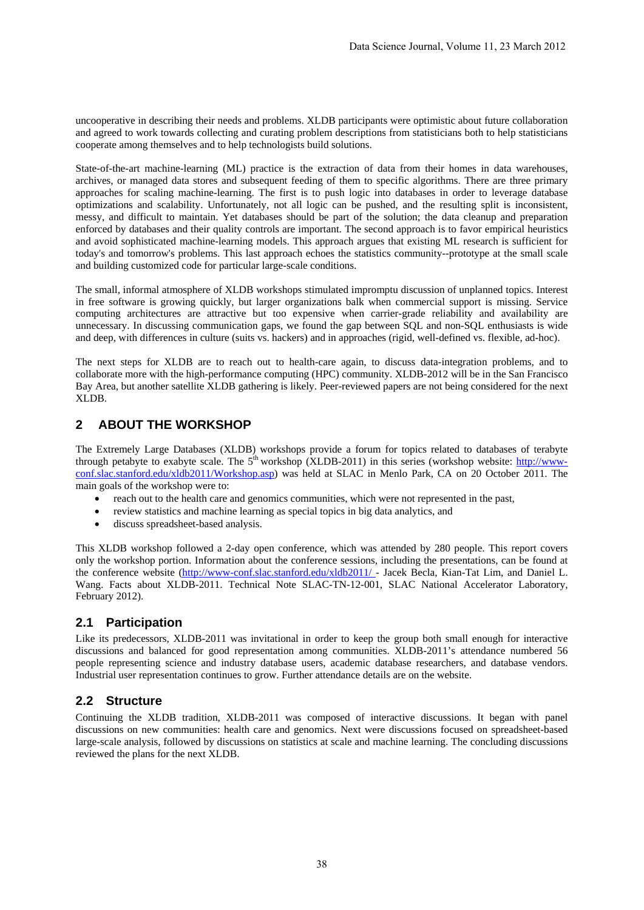uncooperative in describing their needs and problems. XLDB participants were optimistic about future collaboration and agreed to work towards collecting and curating problem descriptions from statisticians both to help statisticians cooperate among themselves and to help technologists build solutions.

State-of-the-art machine-learning (ML) practice is the extraction of data from their homes in data warehouses, archives, or managed data stores and subsequent feeding of them to specific algorithms. There are three primary approaches for scaling machine-learning. The first is to push logic into databases in order to leverage database optimizations and scalability. Unfortunately, not all logic can be pushed, and the resulting split is inconsistent, messy, and difficult to maintain. Yet databases should be part of the solution; the data cleanup and preparation enforced by databases and their quality controls are important. The second approach is to favor empirical heuristics and avoid sophisticated machine-learning models. This approach argues that existing ML research is sufficient for today's and tomorrow's problems. This last approach echoes the statistics community--prototype at the small scale and building customized code for particular large-scale conditions.

The small, informal atmosphere of XLDB workshops stimulated impromptu discussion of unplanned topics. Interest in free software is growing quickly, but larger organizations balk when commercial support is missing. Service computing architectures are attractive but too expensive when carrier-grade reliability and availability are unnecessary. In discussing communication gaps, we found the gap between SQL and non-SQL enthusiasts is wide and deep, with differences in culture (suits vs. hackers) and in approaches (rigid, well-defined vs. flexible, ad-hoc).

The next steps for XLDB are to reach out to health-care again, to discuss data-integration problems, and to collaborate more with the high-performance computing (HPC) community. XLDB-2012 will be in the San Francisco Bay Area, but another satellite XLDB gathering is likely. Peer-reviewed papers are not being considered for the next XLDB.

# **2 ABOUT THE WORKSHOP**

The Extremely Large Databases (XLDB) workshops provide a forum for topics related to databases of terabyte through petabyte to exabyte scale. The 5<sup>th</sup> workshop (XLDB-2011) in this series (workshop website: http://wwwconf.slac.stanford.edu/xldb2011/Workshop.asp) was held at SLAC in Menlo Park, CA on 20 October 2011. The main goals of the workshop were to:

- reach out to the health care and genomics communities, which were not represented in the past,
- review statistics and machine learning as special topics in big data analytics, and
- discuss spreadsheet-based analysis.

This XLDB workshop followed a 2-day open conference, which was attended by 280 people. This report covers only the workshop portion. Information about the conference sessions, including the presentations, can be found at the conference website (http://www-conf.slac.stanford.edu/xldb2011/ - Jacek Becla, Kian-Tat Lim, and Daniel L. Wang. Facts about XLDB-2011. Technical Note SLAC-TN-12-001, SLAC National Accelerator Laboratory, February 2012).

#### **2.1 Participation**

Like its predecessors, XLDB-2011 was invitational in order to keep the group both small enough for interactive discussions and balanced for good representation among communities. XLDB-2011's attendance numbered 56 people representing science and industry database users, academic database researchers, and database vendors. Industrial user representation continues to grow. Further attendance details are on the website.

#### **2.2 Structure**

Continuing the XLDB tradition, XLDB-2011 was composed of interactive discussions. It began with panel discussions on new communities: health care and genomics. Next were discussions focused on spreadsheet-based large-scale analysis, followed by discussions on statistics at scale and machine learning. The concluding discussions reviewed the plans for the next XLDB.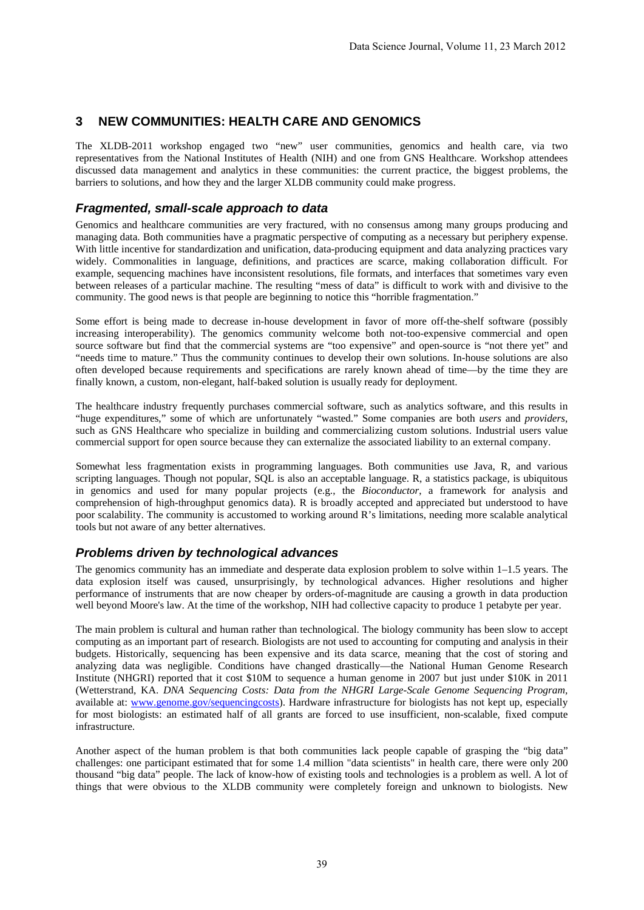## **3 NEW COMMUNITIES: HEALTH CARE AND GENOMICS**

The XLDB-2011 workshop engaged two "new" user communities, genomics and health care, via two representatives from the National Institutes of Health (NIH) and one from GNS Healthcare. Workshop attendees discussed data management and analytics in these communities: the current practice, the biggest problems, the barriers to solutions, and how they and the larger XLDB community could make progress.

#### *Fragmented, small-scale approach to data*

Genomics and healthcare communities are very fractured, with no consensus among many groups producing and managing data. Both communities have a pragmatic perspective of computing as a necessary but periphery expense. With little incentive for standardization and unification, data-producing equipment and data analyzing practices vary widely. Commonalities in language, definitions, and practices are scarce, making collaboration difficult. For example, sequencing machines have inconsistent resolutions, file formats, and interfaces that sometimes vary even between releases of a particular machine. The resulting "mess of data" is difficult to work with and divisive to the community. The good news is that people are beginning to notice this "horrible fragmentation."

Some effort is being made to decrease in-house development in favor of more off-the-shelf software (possibly increasing interoperability). The genomics community welcome both not-too-expensive commercial and open source software but find that the commercial systems are "too expensive" and open-source is "not there yet" and "needs time to mature." Thus the community continues to develop their own solutions. In-house solutions are also often developed because requirements and specifications are rarely known ahead of time—by the time they are finally known, a custom, non-elegant, half-baked solution is usually ready for deployment.

The healthcare industry frequently purchases commercial software, such as analytics software, and this results in "huge expenditures," some of which are unfortunately "wasted." Some companies are both *users* and *providers*, such as GNS Healthcare who specialize in building and commercializing custom solutions. Industrial users value commercial support for open source because they can externalize the associated liability to an external company.

Somewhat less fragmentation exists in programming languages. Both communities use Java, R, and various scripting languages. Though not popular, SQL is also an acceptable language. R, a statistics package, is ubiquitous in genomics and used for many popular projects (e.g., the *Bioconductor*, a framework for analysis and comprehension of high-throughput genomics data). R is broadly accepted and appreciated but understood to have poor scalability. The community is accustomed to working around R's limitations, needing more scalable analytical tools but not aware of any better alternatives.

#### *Problems driven by technological advances*

The genomics community has an immediate and desperate data explosion problem to solve within 1–1.5 years. The data explosion itself was caused, unsurprisingly, by technological advances. Higher resolutions and higher performance of instruments that are now cheaper by orders-of-magnitude are causing a growth in data production well beyond Moore's law. At the time of the workshop, NIH had collective capacity to produce 1 petabyte per year.

The main problem is cultural and human rather than technological. The biology community has been slow to accept computing as an important part of research. Biologists are not used to accounting for computing and analysis in their budgets. Historically, sequencing has been expensive and its data scarce, meaning that the cost of storing and analyzing data was negligible. Conditions have changed drastically—the National Human Genome Research Institute (NHGRI) reported that it cost \$10M to sequence a human genome in 2007 but just under \$10K in 2011 (Wetterstrand, KA. *DNA Sequencing Costs: Data from the NHGRI Large-Scale Genome Sequencing Program,* available at: www.genome.gov/sequencingcosts). Hardware infrastructure for biologists has not kept up, especially for most biologists: an estimated half of all grants are forced to use insufficient, non-scalable, fixed compute infrastructure.

Another aspect of the human problem is that both communities lack people capable of grasping the "big data" challenges: one participant estimated that for some 1.4 million "data scientists" in health care, there were only 200 thousand "big data" people. The lack of know-how of existing tools and technologies is a problem as well. A lot of things that were obvious to the XLDB community were completely foreign and unknown to biologists. New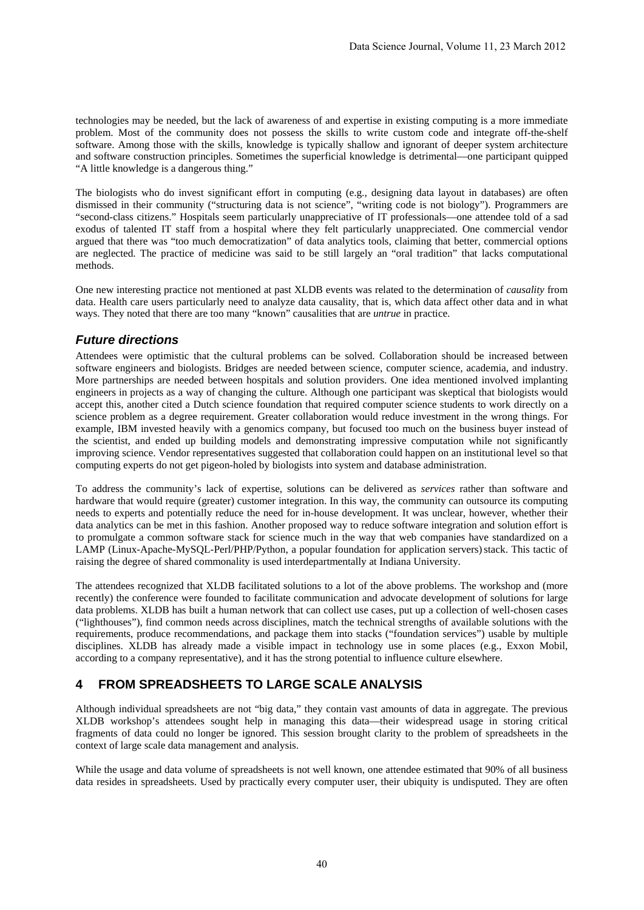technologies may be needed, but the lack of awareness of and expertise in existing computing is a more immediate problem. Most of the community does not possess the skills to write custom code and integrate off-the-shelf software. Among those with the skills, knowledge is typically shallow and ignorant of deeper system architecture and software construction principles. Sometimes the superficial knowledge is detrimental—one participant quipped "A little knowledge is a dangerous thing."

The biologists who do invest significant effort in computing (e.g., designing data layout in databases) are often dismissed in their community ("structuring data is not science", "writing code is not biology"). Programmers are "second-class citizens." Hospitals seem particularly unappreciative of IT professionals—one attendee told of a sad exodus of talented IT staff from a hospital where they felt particularly unappreciated. One commercial vendor argued that there was "too much democratization" of data analytics tools, claiming that better, commercial options are neglected. The practice of medicine was said to be still largely an "oral tradition" that lacks computational methods.

One new interesting practice not mentioned at past XLDB events was related to the determination of *causality* from data. Health care users particularly need to analyze data causality, that is, which data affect other data and in what ways. They noted that there are too many "known" causalities that are *untrue* in practice.

#### *Future directions*

Attendees were optimistic that the cultural problems can be solved. Collaboration should be increased between software engineers and biologists. Bridges are needed between science, computer science, academia, and industry. More partnerships are needed between hospitals and solution providers. One idea mentioned involved implanting engineers in projects as a way of changing the culture. Although one participant was skeptical that biologists would accept this, another cited a Dutch science foundation that required computer science students to work directly on a science problem as a degree requirement. Greater collaboration would reduce investment in the wrong things. For example, IBM invested heavily with a genomics company, but focused too much on the business buyer instead of the scientist, and ended up building models and demonstrating impressive computation while not significantly improving science. Vendor representatives suggested that collaboration could happen on an institutional level so that computing experts do not get pigeon-holed by biologists into system and database administration.

To address the community's lack of expertise, solutions can be delivered as *services* rather than software and hardware that would require (greater) customer integration. In this way, the community can outsource its computing needs to experts and potentially reduce the need for in-house development. It was unclear, however, whether their data analytics can be met in this fashion. Another proposed way to reduce software integration and solution effort is to promulgate a common software stack for science much in the way that web companies have standardized on a LAMP (Linux-Apache-MySQL-Perl/PHP/Python, a popular foundation for application servers) stack. This tactic of raising the degree of shared commonality is used interdepartmentally at Indiana University.

The attendees recognized that XLDB facilitated solutions to a lot of the above problems. The workshop and (more recently) the conference were founded to facilitate communication and advocate development of solutions for large data problems. XLDB has built a human network that can collect use cases, put up a collection of well-chosen cases ("lighthouses"), find common needs across disciplines, match the technical strengths of available solutions with the requirements, produce recommendations, and package them into stacks ("foundation services") usable by multiple disciplines. XLDB has already made a visible impact in technology use in some places (e.g., Exxon Mobil, according to a company representative), and it has the strong potential to influence culture elsewhere.

# **4 FROM SPREADSHEETS TO LARGE SCALE ANALYSIS**

Although individual spreadsheets are not "big data," they contain vast amounts of data in aggregate. The previous XLDB workshop's attendees sought help in managing this data—their widespread usage in storing critical fragments of data could no longer be ignored. This session brought clarity to the problem of spreadsheets in the context of large scale data management and analysis.

While the usage and data volume of spreadsheets is not well known, one attendee estimated that 90% of all business data resides in spreadsheets. Used by practically every computer user, their ubiquity is undisputed. They are often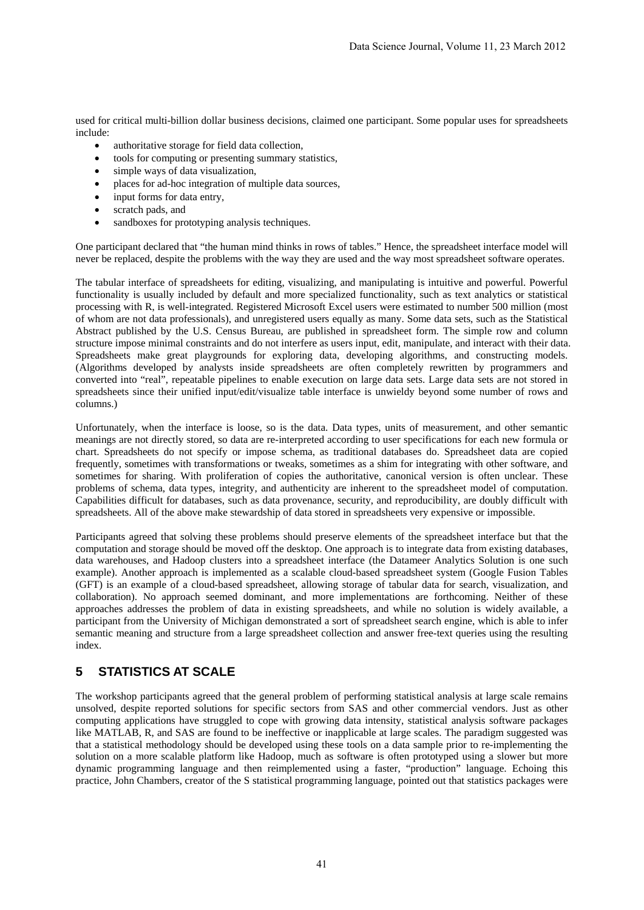used for critical multi-billion dollar business decisions, claimed one participant. Some popular uses for spreadsheets include:

- authoritative storage for field data collection,
- tools for computing or presenting summary statistics,
- simple ways of data visualization,
- places for ad-hoc integration of multiple data sources,
- input forms for data entry,
- scratch pads, and
- sandboxes for prototyping analysis techniques.

One participant declared that "the human mind thinks in rows of tables." Hence, the spreadsheet interface model will never be replaced, despite the problems with the way they are used and the way most spreadsheet software operates.

The tabular interface of spreadsheets for editing, visualizing, and manipulating is intuitive and powerful. Powerful functionality is usually included by default and more specialized functionality, such as text analytics or statistical processing with R, is well-integrated. Registered Microsoft Excel users were estimated to number 500 million (most of whom are not data professionals), and unregistered users equally as many. Some data sets, such as the Statistical Abstract published by the U.S. Census Bureau, are published in spreadsheet form. The simple row and column structure impose minimal constraints and do not interfere as users input, edit, manipulate, and interact with their data. Spreadsheets make great playgrounds for exploring data, developing algorithms, and constructing models. (Algorithms developed by analysts inside spreadsheets are often completely rewritten by programmers and converted into "real", repeatable pipelines to enable execution on large data sets. Large data sets are not stored in spreadsheets since their unified input/edit/visualize table interface is unwieldy beyond some number of rows and columns.)

Unfortunately, when the interface is loose, so is the data. Data types, units of measurement, and other semantic meanings are not directly stored, so data are re-interpreted according to user specifications for each new formula or chart. Spreadsheets do not specify or impose schema, as traditional databases do. Spreadsheet data are copied frequently, sometimes with transformations or tweaks, sometimes as a shim for integrating with other software, and sometimes for sharing. With proliferation of copies the authoritative, canonical version is often unclear. These problems of schema, data types, integrity, and authenticity are inherent to the spreadsheet model of computation. Capabilities difficult for databases, such as data provenance, security, and reproducibility, are doubly difficult with spreadsheets. All of the above make stewardship of data stored in spreadsheets very expensive or impossible.

Participants agreed that solving these problems should preserve elements of the spreadsheet interface but that the computation and storage should be moved off the desktop. One approach is to integrate data from existing databases, data warehouses, and Hadoop clusters into a spreadsheet interface (the Datameer Analytics Solution is one such example). Another approach is implemented as a scalable cloud-based spreadsheet system (Google Fusion Tables (GFT) is an example of a cloud-based spreadsheet, allowing storage of tabular data for search, visualization, and collaboration). No approach seemed dominant, and more implementations are forthcoming. Neither of these approaches addresses the problem of data in existing spreadsheets, and while no solution is widely available, a participant from the University of Michigan demonstrated a sort of spreadsheet search engine, which is able to infer semantic meaning and structure from a large spreadsheet collection and answer free-text queries using the resulting index.

# **5 STATISTICS AT SCALE**

The workshop participants agreed that the general problem of performing statistical analysis at large scale remains unsolved, despite reported solutions for specific sectors from SAS and other commercial vendors. Just as other computing applications have struggled to cope with growing data intensity, statistical analysis software packages like MATLAB, R, and SAS are found to be ineffective or inapplicable at large scales. The paradigm suggested was that a statistical methodology should be developed using these tools on a data sample prior to re-implementing the solution on a more scalable platform like Hadoop, much as software is often prototyped using a slower but more dynamic programming language and then reimplemented using a faster, "production" language. Echoing this practice, John Chambers, creator of the S statistical programming language, pointed out that statistics packages were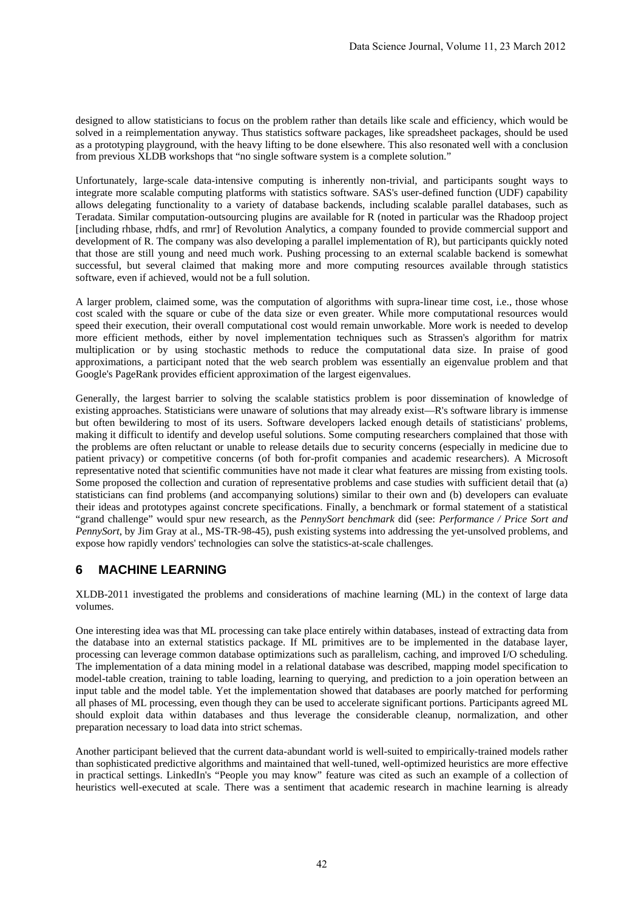designed to allow statisticians to focus on the problem rather than details like scale and efficiency, which would be solved in a reimplementation anyway. Thus statistics software packages, like spreadsheet packages, should be used as a prototyping playground, with the heavy lifting to be done elsewhere. This also resonated well with a conclusion from previous XLDB workshops that "no single software system is a complete solution."

Unfortunately, large-scale data-intensive computing is inherently non-trivial, and participants sought ways to integrate more scalable computing platforms with statistics software. SAS's user-defined function (UDF) capability allows delegating functionality to a variety of database backends, including scalable parallel databases, such as Teradata. Similar computation-outsourcing plugins are available for R (noted in particular was the Rhadoop project [including rhbase, rhdfs, and rmr] of Revolution Analytics, a company founded to provide commercial support and development of R. The company was also developing a parallel implementation of R), but participants quickly noted that those are still young and need much work. Pushing processing to an external scalable backend is somewhat successful, but several claimed that making more and more computing resources available through statistics software, even if achieved, would not be a full solution.

A larger problem, claimed some, was the computation of algorithms with supra-linear time cost, i.e., those whose cost scaled with the square or cube of the data size or even greater. While more computational resources would speed their execution, their overall computational cost would remain unworkable. More work is needed to develop more efficient methods, either by novel implementation techniques such as Strassen's algorithm for matrix multiplication or by using stochastic methods to reduce the computational data size. In praise of good approximations, a participant noted that the web search problem was essentially an eigenvalue problem and that Google's PageRank provides efficient approximation of the largest eigenvalues.

Generally, the largest barrier to solving the scalable statistics problem is poor dissemination of knowledge of existing approaches. Statisticians were unaware of solutions that may already exist—R's software library is immense but often bewildering to most of its users. Software developers lacked enough details of statisticians' problems, making it difficult to identify and develop useful solutions. Some computing researchers complained that those with the problems are often reluctant or unable to release details due to security concerns (especially in medicine due to patient privacy) or competitive concerns (of both for-profit companies and academic researchers). A Microsoft representative noted that scientific communities have not made it clear what features are missing from existing tools. Some proposed the collection and curation of representative problems and case studies with sufficient detail that (a) statisticians can find problems (and accompanying solutions) similar to their own and (b) developers can evaluate their ideas and prototypes against concrete specifications. Finally, a benchmark or formal statement of a statistical "grand challenge" would spur new research, as the *PennySort benchmark* did (see: *Performance / Price Sort and PennySort*, by Jim Gray at al., MS-TR-98-45), push existing systems into addressing the yet-unsolved problems, and expose how rapidly vendors' technologies can solve the statistics-at-scale challenges.

# **6 MACHINE LEARNING**

XLDB-2011 investigated the problems and considerations of machine learning (ML) in the context of large data volumes.

One interesting idea was that ML processing can take place entirely within databases, instead of extracting data from the database into an external statistics package. If ML primitives are to be implemented in the database layer, processing can leverage common database optimizations such as parallelism, caching, and improved I/O scheduling. The implementation of a data mining model in a relational database was described, mapping model specification to model-table creation, training to table loading, learning to querying, and prediction to a join operation between an input table and the model table. Yet the implementation showed that databases are poorly matched for performing all phases of ML processing, even though they can be used to accelerate significant portions. Participants agreed ML should exploit data within databases and thus leverage the considerable cleanup, normalization, and other preparation necessary to load data into strict schemas.

Another participant believed that the current data-abundant world is well-suited to empirically-trained models rather than sophisticated predictive algorithms and maintained that well-tuned, well-optimized heuristics are more effective in practical settings. LinkedIn's "People you may know" feature was cited as such an example of a collection of heuristics well-executed at scale. There was a sentiment that academic research in machine learning is already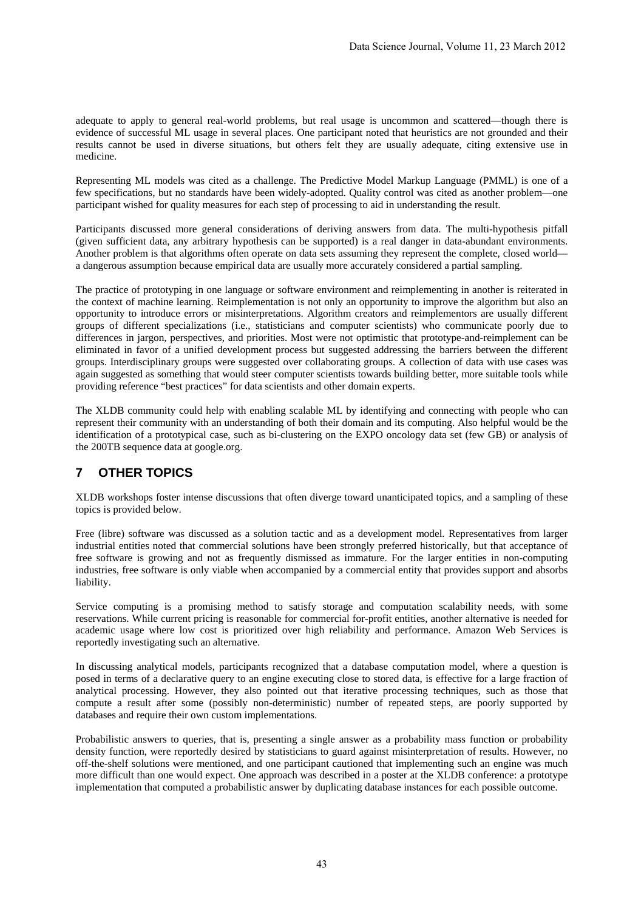adequate to apply to general real-world problems, but real usage is uncommon and scattered—though there is evidence of successful ML usage in several places. One participant noted that heuristics are not grounded and their results cannot be used in diverse situations, but others felt they are usually adequate, citing extensive use in medicine.

Representing ML models was cited as a challenge. The Predictive Model Markup Language (PMML) is one of a few specifications, but no standards have been widely-adopted. Quality control was cited as another problem—one participant wished for quality measures for each step of processing to aid in understanding the result.

Participants discussed more general considerations of deriving answers from data. The multi-hypothesis pitfall (given sufficient data, any arbitrary hypothesis can be supported) is a real danger in data-abundant environments. Another problem is that algorithms often operate on data sets assuming they represent the complete, closed world a dangerous assumption because empirical data are usually more accurately considered a partial sampling.

The practice of prototyping in one language or software environment and reimplementing in another is reiterated in the context of machine learning. Reimplementation is not only an opportunity to improve the algorithm but also an opportunity to introduce errors or misinterpretations. Algorithm creators and reimplementors are usually different groups of different specializations (i.e., statisticians and computer scientists) who communicate poorly due to differences in jargon, perspectives, and priorities. Most were not optimistic that prototype-and-reimplement can be eliminated in favor of a unified development process but suggested addressing the barriers between the different groups. Interdisciplinary groups were suggested over collaborating groups. A collection of data with use cases was again suggested as something that would steer computer scientists towards building better, more suitable tools while providing reference "best practices" for data scientists and other domain experts.

The XLDB community could help with enabling scalable ML by identifying and connecting with people who can represent their community with an understanding of both their domain and its computing. Also helpful would be the identification of a prototypical case, such as bi-clustering on the EXPO oncology data set (few GB) or analysis of the 200TB sequence data at google.org.

# **7 OTHER TOPICS**

XLDB workshops foster intense discussions that often diverge toward unanticipated topics, and a sampling of these topics is provided below.

Free (libre) software was discussed as a solution tactic and as a development model. Representatives from larger industrial entities noted that commercial solutions have been strongly preferred historically, but that acceptance of free software is growing and not as frequently dismissed as immature. For the larger entities in non-computing industries, free software is only viable when accompanied by a commercial entity that provides support and absorbs liability.

Service computing is a promising method to satisfy storage and computation scalability needs, with some reservations. While current pricing is reasonable for commercial for-profit entities, another alternative is needed for academic usage where low cost is prioritized over high reliability and performance. Amazon Web Services is reportedly investigating such an alternative.

In discussing analytical models, participants recognized that a database computation model, where a question is posed in terms of a declarative query to an engine executing close to stored data, is effective for a large fraction of analytical processing. However, they also pointed out that iterative processing techniques, such as those that compute a result after some (possibly non-deterministic) number of repeated steps, are poorly supported by databases and require their own custom implementations.

Probabilistic answers to queries, that is, presenting a single answer as a probability mass function or probability density function, were reportedly desired by statisticians to guard against misinterpretation of results. However, no off-the-shelf solutions were mentioned, and one participant cautioned that implementing such an engine was much more difficult than one would expect. One approach was described in a poster at the XLDB conference: a prototype implementation that computed a probabilistic answer by duplicating database instances for each possible outcome.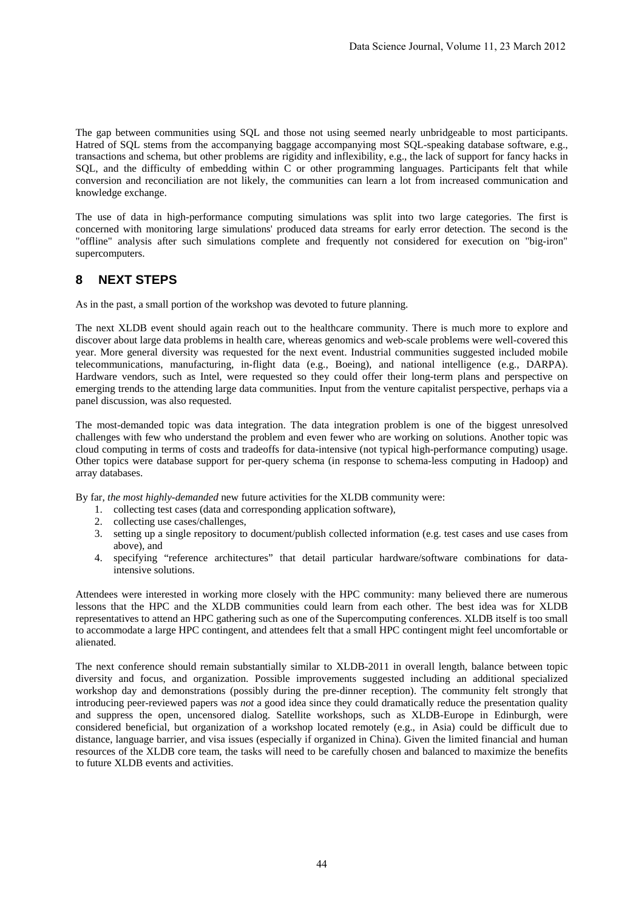The gap between communities using SQL and those not using seemed nearly unbridgeable to most participants. Hatred of SQL stems from the accompanying baggage accompanying most SQL-speaking database software, e.g., transactions and schema, but other problems are rigidity and inflexibility, e.g., the lack of support for fancy hacks in SQL, and the difficulty of embedding within C or other programming languages. Participants felt that while conversion and reconciliation are not likely, the communities can learn a lot from increased communication and knowledge exchange.

The use of data in high-performance computing simulations was split into two large categories. The first is concerned with monitoring large simulations' produced data streams for early error detection. The second is the "offline" analysis after such simulations complete and frequently not considered for execution on "big-iron" supercomputers.

## **8 NEXT STEPS**

As in the past, a small portion of the workshop was devoted to future planning.

The next XLDB event should again reach out to the healthcare community. There is much more to explore and discover about large data problems in health care, whereas genomics and web-scale problems were well-covered this year. More general diversity was requested for the next event. Industrial communities suggested included mobile telecommunications, manufacturing, in-flight data (e.g., Boeing), and national intelligence (e.g., DARPA). Hardware vendors, such as Intel, were requested so they could offer their long-term plans and perspective on emerging trends to the attending large data communities. Input from the venture capitalist perspective, perhaps via a panel discussion, was also requested.

The most-demanded topic was data integration. The data integration problem is one of the biggest unresolved challenges with few who understand the problem and even fewer who are working on solutions. Another topic was cloud computing in terms of costs and tradeoffs for data-intensive (not typical high-performance computing) usage. Other topics were database support for per-query schema (in response to schema-less computing in Hadoop) and array databases.

By far, *the most highly-demanded* new future activities for the XLDB community were:

- 1. collecting test cases (data and corresponding application software),
- 2. collecting use cases/challenges,
- 3. setting up a single repository to document/publish collected information (e.g. test cases and use cases from above), and
- 4. specifying "reference architectures" that detail particular hardware/software combinations for dataintensive solutions.

Attendees were interested in working more closely with the HPC community: many believed there are numerous lessons that the HPC and the XLDB communities could learn from each other. The best idea was for XLDB representatives to attend an HPC gathering such as one of the Supercomputing conferences. XLDB itself is too small to accommodate a large HPC contingent, and attendees felt that a small HPC contingent might feel uncomfortable or alienated.

The next conference should remain substantially similar to XLDB-2011 in overall length, balance between topic diversity and focus, and organization. Possible improvements suggested including an additional specialized workshop day and demonstrations (possibly during the pre-dinner reception). The community felt strongly that introducing peer-reviewed papers was *not* a good idea since they could dramatically reduce the presentation quality and suppress the open, uncensored dialog. Satellite workshops, such as XLDB-Europe in Edinburgh, were considered beneficial, but organization of a workshop located remotely (e.g., in Asia) could be difficult due to distance, language barrier, and visa issues (especially if organized in China). Given the limited financial and human resources of the XLDB core team, the tasks will need to be carefully chosen and balanced to maximize the benefits to future XLDB events and activities.